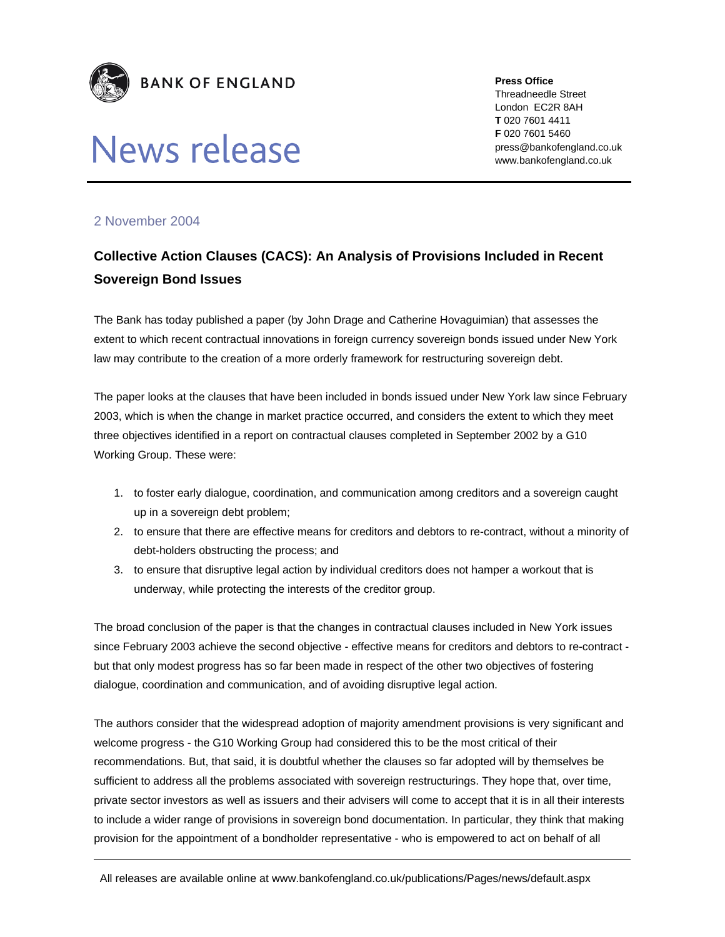

# News release

**Press Office** 

Threadneedle Street London EC2R 8AH **T** 020 7601 4411 **F** 020 7601 5460 press@bankofengland.co.uk www.bankofengland.co.uk

## 2 November 2004

## **Collective Action Clauses (CACS): An Analysis of Provisions Included in Recent Sovereign Bond Issues**

The Bank has today published a paper (by John Drage and Catherine Hovaguimian) that assesses the extent to which recent contractual innovations in foreign currency sovereign bonds issued under New York law may contribute to the creation of a more orderly framework for restructuring sovereign debt.

The paper looks at the clauses that have been included in bonds issued under New York law since February 2003, which is when the change in market practice occurred, and considers the extent to which they meet three objectives identified in a report on contractual clauses completed in September 2002 by a G10 Working Group. These were:

- 1. to foster early dialogue, coordination, and communication among creditors and a sovereign caught up in a sovereign debt problem;
- 2. to ensure that there are effective means for creditors and debtors to re-contract, without a minority of debt-holders obstructing the process; and
- 3. to ensure that disruptive legal action by individual creditors does not hamper a workout that is underway, while protecting the interests of the creditor group.

The broad conclusion of the paper is that the changes in contractual clauses included in New York issues since February 2003 achieve the second objective - effective means for creditors and debtors to re-contract but that only modest progress has so far been made in respect of the other two objectives of fostering dialogue, coordination and communication, and of avoiding disruptive legal action.

The authors consider that the widespread adoption of majority amendment provisions is very significant and welcome progress - the G10 Working Group had considered this to be the most critical of their recommendations. But, that said, it is doubtful whether the clauses so far adopted will by themselves be sufficient to address all the problems associated with sovereign restructurings. They hope that, over time, private sector investors as well as issuers and their advisers will come to accept that it is in all their interests to include a wider range of provisions in sovereign bond documentation. In particular, they think that making provision for the appointment of a bondholder representative - who is empowered to act on behalf of all